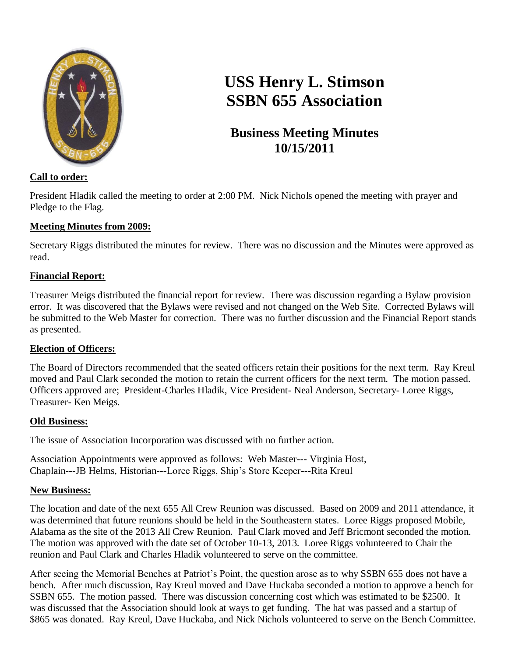

# **USS Henry L. Stimson SSBN 655 Association**

# **Business Meeting Minutes 10/15/2011**

## **Call to order:**

President Hladik called the meeting to order at 2:00 PM. Nick Nichols opened the meeting with prayer and Pledge to the Flag.

#### **Meeting Minutes from 2009:**

Secretary Riggs distributed the minutes for review. There was no discussion and the Minutes were approved as read.

#### **Financial Report:**

Treasurer Meigs distributed the financial report for review. There was discussion regarding a Bylaw provision error. It was discovered that the Bylaws were revised and not changed on the Web Site. Corrected Bylaws will be submitted to the Web Master for correction. There was no further discussion and the Financial Report stands as presented.

#### **Election of Officers:**

The Board of Directors recommended that the seated officers retain their positions for the next term. Ray Kreul moved and Paul Clark seconded the motion to retain the current officers for the next term. The motion passed. Officers approved are; President-Charles Hladik, Vice President- Neal Anderson, Secretary- Loree Riggs, Treasurer- Ken Meigs.

#### **Old Business:**

The issue of Association Incorporation was discussed with no further action.

Association Appointments were approved as follows: Web Master--- Virginia Host, Chaplain---JB Helms, Historian---Loree Riggs, Ship's Store Keeper---Rita Kreul

#### **New Business:**

The location and date of the next 655 All Crew Reunion was discussed. Based on 2009 and 2011 attendance, it was determined that future reunions should be held in the Southeastern states. Loree Riggs proposed Mobile, Alabama as the site of the 2013 All Crew Reunion. Paul Clark moved and Jeff Bricmont seconded the motion. The motion was approved with the date set of October 10-13, 2013. Loree Riggs volunteered to Chair the reunion and Paul Clark and Charles Hladik volunteered to serve on the committee.

After seeing the Memorial Benches at Patriot's Point, the question arose as to why SSBN 655 does not have a bench. After much discussion, Ray Kreul moved and Dave Huckaba seconded a motion to approve a bench for SSBN 655. The motion passed. There was discussion concerning cost which was estimated to be \$2500. It was discussed that the Association should look at ways to get funding. The hat was passed and a startup of \$865 was donated. Ray Kreul, Dave Huckaba, and Nick Nichols volunteered to serve on the Bench Committee.